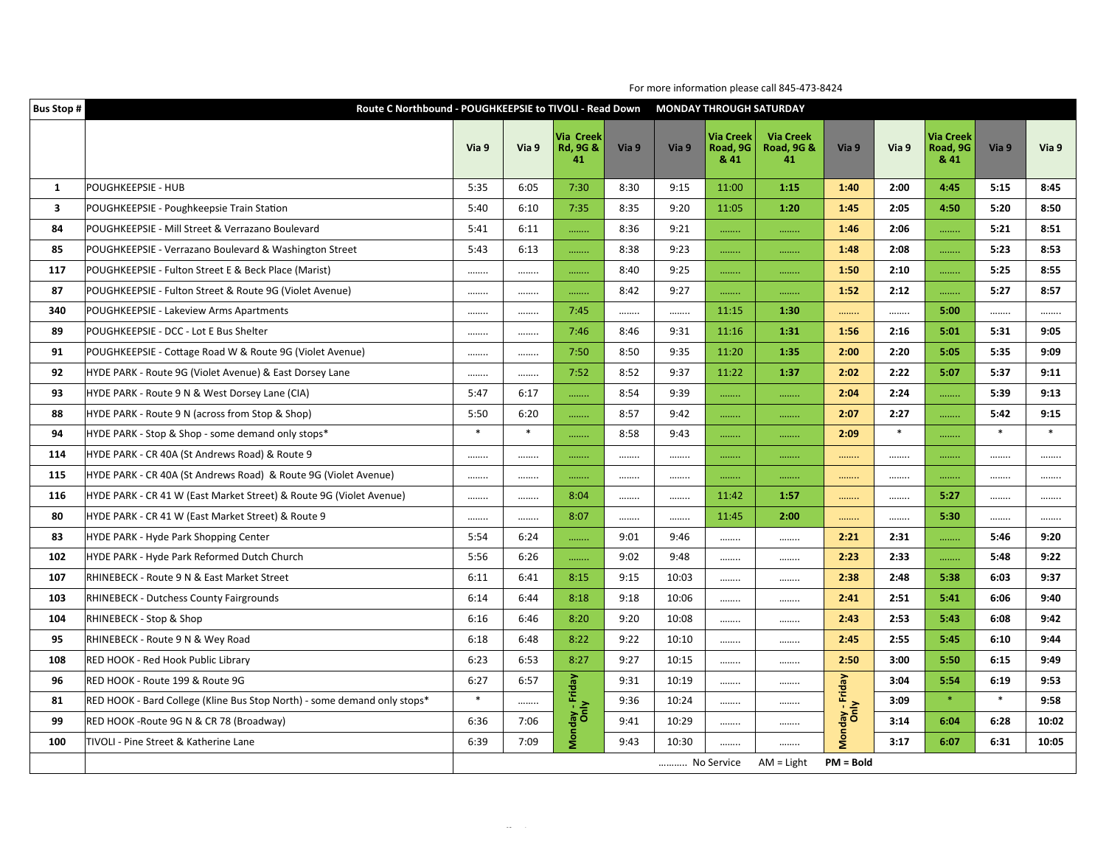| <b>Bus Stop #</b>       |                                                                          | Route C Northbound - POUGHKEEPSIE to TIVOLI - Read Down |        |                                        |       |            |                                      | <b>MONDAY THROUGH SATURDAY</b>                  |                         |        |                                      |        |        |
|-------------------------|--------------------------------------------------------------------------|---------------------------------------------------------|--------|----------------------------------------|-------|------------|--------------------------------------|-------------------------------------------------|-------------------------|--------|--------------------------------------|--------|--------|
|                         |                                                                          | Via 9                                                   | Via 9  | Via Creek<br><b>Rd, 9G &amp;</b><br>41 | Via 9 | Via 9      | <b>Via Creek</b><br>Road, 9G<br>& 41 | <b>Via Creek</b><br><b>Road, 9G &amp;</b><br>41 | Via 9                   | Via 9  | <b>Via Creek</b><br>Road, 9G<br>& 41 | Via 9  | Via 9  |
| 1                       | POUGHKEEPSIE - HUB                                                       | 5:35                                                    | 6:05   | 7:30                                   | 8:30  | 9:15       | 11:00                                | 1:15                                            | 1:40                    | 2:00   | 4:45                                 | 5:15   | 8:45   |
| $\overline{\mathbf{3}}$ | POUGHKEEPSIE - Poughkeepsie Train Station                                | 5:40                                                    | 6:10   | 7:35                                   | 8:35  | 9:20       | 11:05                                | 1:20                                            | 1:45                    | 2:05   | 4:50                                 | 5:20   | 8:50   |
| 84                      | POUGHKEEPSIE - Mill Street & Verrazano Boulevard                         | 5:41                                                    | 6:11   |                                        | 8:36  | 9:21       |                                      |                                                 | 1:46                    | 2:06   | .                                    | 5:21   | 8:51   |
| 85                      | POUGHKEEPSIE - Verrazano Boulevard & Washington Street                   | 5:43                                                    | 6:13   | .                                      | 8:38  | 9:23       |                                      |                                                 | 1:48                    | 2:08   |                                      | 5:23   | 8:53   |
| 117                     | POUGHKEEPSIE - Fulton Street E & Beck Place (Marist)                     |                                                         |        |                                        | 8:40  | 9:25       |                                      |                                                 | 1:50                    | 2:10   |                                      | 5:25   | 8:55   |
| 87                      | POUGHKEEPSIE - Fulton Street & Route 9G (Violet Avenue)                  |                                                         |        | .                                      | 8:42  | 9:27       |                                      |                                                 | 1:52                    | 2:12   | .                                    | 5:27   | 8:57   |
| 340                     | POUGHKEEPSIE - Lakeview Arms Apartments                                  |                                                         |        | 7:45                                   |       |            | 11:15                                | 1:30                                            | .                       |        | 5:00                                 |        |        |
| 89                      | POUGHKEEPSIE - DCC - Lot E Bus Shelter                                   |                                                         |        | 7:46                                   | 8:46  | 9:31       | 11:16                                | 1:31                                            | 1:56                    | 2:16   | 5:01                                 | 5:31   | 9:05   |
| 91                      | POUGHKEEPSIE - Cottage Road W & Route 9G (Violet Avenue)                 |                                                         |        | 7:50                                   | 8:50  | 9:35       | 11:20                                | 1:35                                            | 2:00                    | 2:20   | 5:05                                 | 5:35   | 9:09   |
| 92                      | HYDE PARK - Route 9G (Violet Avenue) & East Dorsey Lane                  |                                                         |        | 7:52                                   | 8:52  | 9:37       | 11:22                                | 1:37                                            | 2:02                    | 2:22   | 5:07                                 | 5:37   | 9:11   |
| 93                      | HYDE PARK - Route 9 N & West Dorsey Lane (CIA)                           | 5:47                                                    | 6:17   | .                                      | 8:54  | 9:39       | .                                    |                                                 | 2:04                    | 2:24   |                                      | 5:39   | 9:13   |
| 88                      | HYDE PARK - Route 9 N (across from Stop & Shop)                          | 5:50                                                    | 6:20   |                                        | 8:57  | 9:42       | .                                    | .                                               | 2:07                    | 2:27   |                                      | 5:42   | 9:15   |
| 94                      | HYDE PARK - Stop & Shop - some demand only stops*                        | $\ast$                                                  | $\ast$ |                                        | 8:58  | 9:43       | .                                    |                                                 | 2:09                    | $\ast$ |                                      | $\ast$ | $\ast$ |
| 114                     | HYDE PARK - CR 40A (St Andrews Road) & Route 9                           |                                                         |        | .                                      |       |            |                                      |                                                 | .                       |        | .                                    |        |        |
| 115                     | HYDE PARK - CR 40A (St Andrews Road) & Route 9G (Violet Avenue)          |                                                         |        |                                        |       |            |                                      |                                                 |                         |        |                                      |        |        |
| 116                     | HYDE PARK - CR 41 W (East Market Street) & Route 9G (Violet Avenue)      |                                                         |        | 8:04                                   |       |            | 11:42                                | 1:57                                            |                         |        | 5:27                                 |        |        |
| 80                      | HYDE PARK - CR 41 W (East Market Street) & Route 9                       |                                                         |        | 8:07                                   |       |            | 11:45                                | 2:00                                            | .                       |        | 5:30                                 |        |        |
| 83                      | <b>HYDE PARK - Hyde Park Shopping Center</b>                             | 5:54                                                    | 6:24   | .                                      | 9:01  | 9:46       |                                      |                                                 | 2:21                    | 2:31   |                                      | 5:46   | 9:20   |
| 102                     | HYDE PARK - Hyde Park Reformed Dutch Church                              | 5:56                                                    | 6:26   |                                        | 9:02  | 9:48       |                                      |                                                 | 2:23                    | 2:33   |                                      | 5:48   | 9:22   |
| 107                     | RHINEBECK - Route 9 N & East Market Street                               | 6:11                                                    | 6:41   | 8:15                                   | 9:15  | 10:03      |                                      |                                                 | 2:38                    | 2:48   | 5:38                                 | 6:03   | 9:37   |
| 103                     | <b>RHINEBECK - Dutchess County Fairgrounds</b>                           | 6:14                                                    | 6:44   | 8:18                                   | 9:18  | 10:06      |                                      |                                                 | 2:41                    | 2:51   | 5:41                                 | 6:06   | 9:40   |
| 104                     | RHINEBECK - Stop & Shop                                                  | 6:16                                                    | 6:46   | 8:20                                   | 9:20  | 10:08      |                                      |                                                 | 2:43                    | 2:53   | 5:43                                 | 6:08   | 9:42   |
| 95                      | RHINEBECK - Route 9 N & Wey Road                                         | 6:18                                                    | 6:48   | 8:22                                   | 9:22  | 10:10      |                                      |                                                 | 2:45                    | 2:55   | 5:45                                 | 6:10   | 9:44   |
| 108                     | RED HOOK - Red Hook Public Library                                       | 6:23                                                    | 6:53   | 8:27                                   | 9:27  | 10:15      |                                      |                                                 | 2:50                    | 3:00   | 5:50                                 | 6:15   | 9:49   |
| 96                      | RED HOOK - Route 199 & Route 9G                                          | 6:27                                                    | 6:57   |                                        | 9:31  | 10:19      |                                      |                                                 |                         | 3:04   | 5:54                                 | 6:19   | 9:53   |
| 81                      | RED HOOK - Bard College (Kline Bus Stop North) - some demand only stops* | $\ast$                                                  |        |                                        | 9:36  | 10:24      |                                      |                                                 |                         | 3:09   | $\ast$                               | $\ast$ | 9:58   |
| 99                      | RED HOOK -Route 9G N & CR 78 (Broadway)                                  | 6:36                                                    | 7:06   | Monday - Friday                        | 9:41  | 10:29      |                                      |                                                 | Monday - Friday<br>Only | 3:14   | 6:04                                 | 6:28   | 10:02  |
| 100                     | TIVOLI - Pine Street & Katherine Lane                                    | 6:39                                                    | 7:09   |                                        | 9:43  | 10:30      |                                      |                                                 |                         | 3:17   | 6:07                                 | 6:31   | 10:05  |
|                         |                                                                          |                                                         |        |                                        |       | No Service |                                      | $AM = Light$                                    | $PM = Bold$             |        |                                      |        |        |

For more information please call 845-473-8424